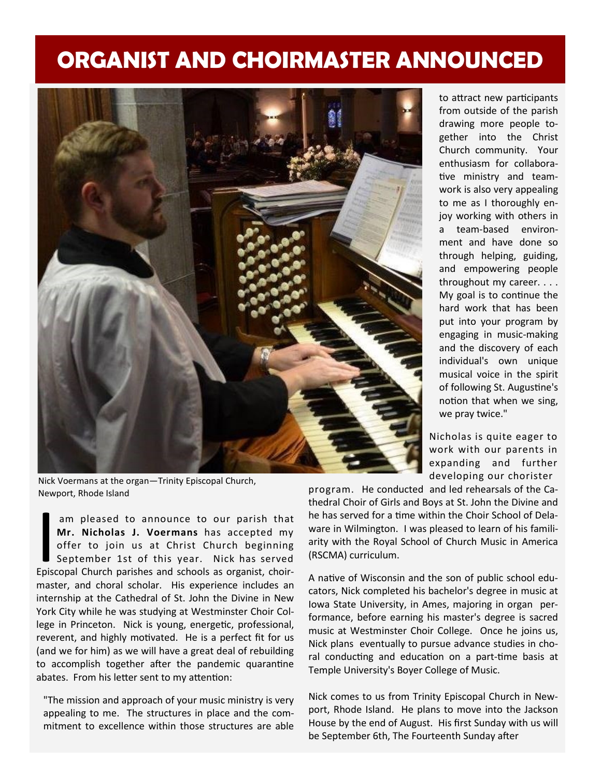## **ORGANIST AND CHOIRMASTER ANNOUNCED**



to attract new participants from outside of the parish drawing more people together into the Christ Church community. Your enthusiasm for collaborative ministry and teamwork is also very appealing to me as I thoroughly enjoy working with others in a team-based environment and have done so through helping, guiding, and empowering people throughout my career. . . . My goal is to continue the hard work that has been put into your program by engaging in music-making and the discovery of each individual's own unique musical voice in the spirit of following St. Augustine's notion that when we sing, we pray twice."

Nicholas is quite eager to work with our parents in expanding and further developing our chorister

Nick Voermans at the organ—Trinity Episcopal Church, Newport, Rhode Island

am pleased to announce to our parish that<br> **Mr. Nicholas J. Voermans** has accepted my<br>
offer to join us at Christ Church beginning<br>
September 1st of this year. Nick has served<br>
Episcopal Church parishes and schools as orga am pleased to announce to our parish that **Mr. Nicholas J. Voermans** has accepted my offer to join us at Christ Church beginning September 1st of this year. Nick has served master, and choral scholar. His experience includes an internship at the Cathedral of St. John the Divine in New York City while he was studying at Westminster Choir College in Princeton. Nick is young, energetic, professional, reverent, and highly motivated. He is a perfect fit for us (and we for him) as we will have a great deal of rebuilding to accomplish together after the pandemic quarantine abates. From his letter sent to my attention:

"The mission and approach of your music ministry is very appealing to me. The structures in place and the commitment to excellence within those structures are able program. He conducted and led rehearsals of the Cathedral Choir of Girls and Boys at St. John the Divine and he has served for a time within the Choir School of Delaware in Wilmington. I was pleased to learn of his familiarity with the Royal School of Church Music in America (RSCMA) curriculum.

A native of Wisconsin and the son of public school educators, Nick completed his bachelor's degree in music at Iowa State University, in Ames, majoring in organ performance, before earning his master's degree is sacred music at Westminster Choir College. Once he joins us, Nick plans eventually to pursue advance studies in choral conducting and education on a part-time basis at Temple University's Boyer College of Music.

Nick comes to us from Trinity Episcopal Church in Newport, Rhode Island. He plans to move into the Jackson House by the end of August. His first Sunday with us will be September 6th, The Fourteenth Sunday after